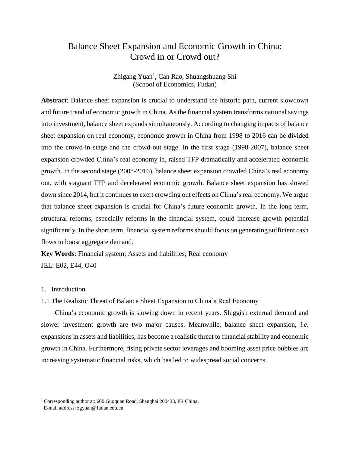# Balance Sheet Expansion and Economic Growth in China: Crowd in or Crowd out?

Zhigang Yuan<sup>1</sup>, Can Rao, Shuangshuang Shi (School of Economics, Fudan)

**Abstract**: Balance sheet expansion is crucial to understand the historic path, current slowdown and future trend of economic growth in China. As the financial system transforms national savings into investment, balance sheet expands simultaneously. According to changing impacts of balance sheet expansion on real economy, economic growth in China from 1998 to 2016 can be divided into the crowd-in stage and the crowd-out stage. In the first stage (1998-2007), balance sheet expansion crowded China's real economy in, raised TFP dramatically and accelerated economic growth. In the second stage (2008-2016), balance sheet expansion crowded China's real economy out, with stagnant TFP and decelerated economic growth. Balance sheet expansion has slowed down since 2014, but it continues to exert crowding out effects on China's real economy. We argue that balance sheet expansion is crucial for China's future economic growth. In the long term, structural reforms, especially reforms in the financial system, could increase growth potential significantly. In the short term, financial system reforms should focus on generating sufficient cash flows to boost aggregate demand.

**Key Words**: Financial system; Assets and liabilities; Real economy JEL: E02, E44, O40

#### 1. Introduction

 $\overline{a}$ 

1.1 The Realistic Threat of Balance Sheet Expansion to China's Real Economy

China's economic growth is slowing down in recent years. Sluggish external demand and slower investment growth are two major causes. Meanwhile, balance sheet expansion, *i.e.* expansions in assets and liabilities, has become a realistic threat to financial stability and economic growth in China. Furthermore, rising private sector leverages and booming asset price bubbles are increasing systematic financial risks, which has led to widespread social concerns.

<sup>&</sup>lt;sup>1</sup> Corresponding author at: 600 Guoquan Road, Shanghai 200433, PR China.

E-mail address: zgyuan@fudan.edu.cn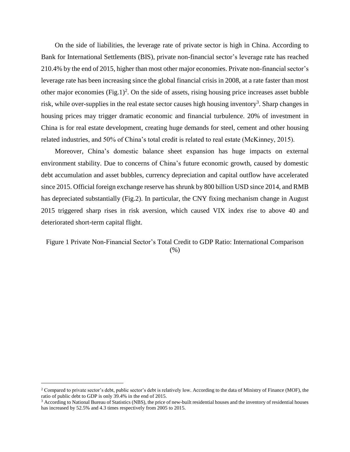On the side of liabilities, the leverage rate of private sector is high in China. According to Bank for International Settlements (BIS), private non-financial sector's leverage rate has reached 210.4% by the end of 2015, higher than most other major economies. Private non-financial sector's leverage rate has been increasing since the global financial crisis in 2008, at a rate faster than most other major economies  $(Fig.1)^2$ . On the side of assets, rising housing price increases asset bubble risk, while over-supplies in the real estate sector causes high housing inventory<sup>3</sup>. Sharp changes in housing prices may trigger dramatic economic and financial turbulence. 20% of investment in China is for real estate development, creating huge demands for steel, cement and other housing related industries, and 50% of China's total credit is related to real estate (McKinney, 2015).

Moreover, China's domestic balance sheet expansion has huge impacts on external environment stability. Due to concerns of China's future economic growth, caused by domestic debt accumulation and asset bubbles, currency depreciation and capital outflow have accelerated since 2015. Official foreign exchange reserve has shrunk by 800 billion USD since 2014, and RMB has depreciated substantially (Fig.2). In particular, the CNY fixing mechanism change in August 2015 triggered sharp rises in risk aversion, which caused VIX index rise to above 40 and deteriorated short-term capital flight.

## Figure 1 Private Non-Financial Sector's Total Credit to GDP Ratio: International Comparison  $(%)$

 $\overline{a}$ 

<sup>&</sup>lt;sup>2</sup> Compared to private sector's debt, public sector's debt is relatively low. According to the data of Ministry of Finance (MOF), the ratio of public debt to GDP is only 39.4% in the end of 2015.

 $3$  According to National Bureau of Statistics (NBS), the price of new-built residential houses and the inventory of residential houses has increased by 52.5% and 4.3 times respectively from 2005 to 2015.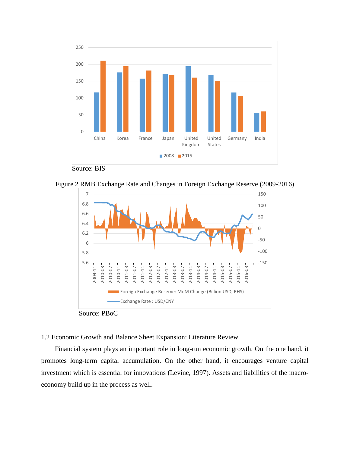

Source: BIS

Figure 2 RMB Exchange Rate and Changes in Foreign Exchange Reserve (2009-2016)



Source: PBoC

## 1.2 Economic Growth and Balance Sheet Expansion: Literature Review

Financial system plays an important role in long-run economic growth. On the one hand, it promotes long-term capital accumulation. On the other hand, it encourages venture capital investment which is essential for innovations (Levine, 1997). Assets and liabilities of the macroeconomy build up in the process as well.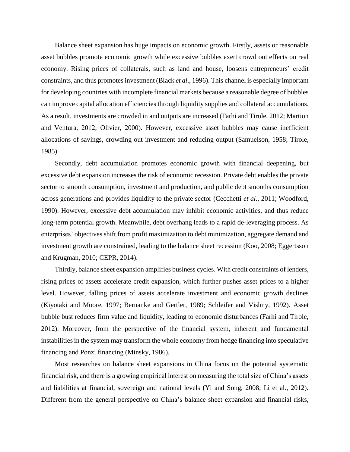Balance sheet expansion has huge impacts on economic growth. Firstly, assets or reasonable asset bubbles promote economic growth while excessive bubbles exert crowd out effects on real economy. Rising prices of collaterals, such as land and house, loosens entrepreneurs' credit constraints, and thus promotes investment (Black *et al*., 1996). This channel is especially important for developing countries with incomplete financial markets because a reasonable degree of bubbles can improve capital allocation efficiencies through liquidity supplies and collateral accumulations. As a result, investments are crowded in and outputs are increased (Farhi and Tirole, 2012; Martion and Ventura, 2012; Olivier, 2000). However, excessive asset bubbles may cause inefficient allocations of savings, crowding out investment and reducing output (Samuelson, 1958; Tirole, 1985).

Secondly, debt accumulation promotes economic growth with financial deepening, but excessive debt expansion increases the risk of economic recession. Private debt enables the private sector to smooth consumption, investment and production, and public debt smooths consumption across generations and provides liquidity to the private sector (Cecchetti *et al*., 2011; Woodford, 1990). However, excessive debt accumulation may inhibit economic activities, and thus reduce long-term potential growth. Meanwhile, debt overhang leads to a rapid de-leveraging process. As enterprises' objectives shift from profit maximization to debt minimization, aggregate demand and investment growth are constrained, leading to the balance sheet recession (Koo, 2008; Eggertsson and Krugman, 2010; CEPR, 2014).

Thirdly, balance sheet expansion amplifies business cycles. With credit constraints of lenders, rising prices of assets accelerate credit expansion, which further pushes asset prices to a higher level. However, falling prices of assets accelerate investment and economic growth declines (Kiyotaki and Moore, 1997; Bernanke and Gertler, 1989; Schleifer and Vishny, 1992). Asset bubble bust reduces firm value and liquidity, leading to economic disturbances (Farhi and Tirole, 2012). Moreover, from the perspective of the financial system, inherent and fundamental instabilities in the system may transform the whole economy from hedge financing into speculative financing and Ponzi financing (Minsky, 1986).

Most researches on balance sheet expansions in China focus on the potential systematic financial risk, and there is a growing empirical interest on measuring the total size of China's assets and liabilities at financial, sovereign and national levels (Yi and Song, 2008; Li et al., 2012). Different from the general perspective on China's balance sheet expansion and financial risks,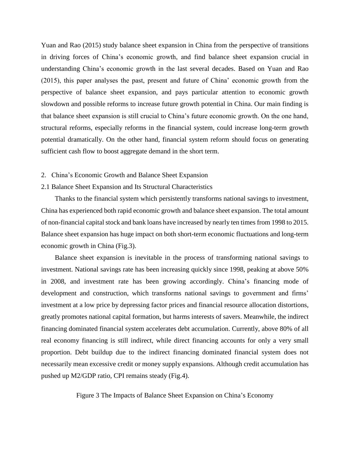Yuan and Rao (2015) study balance sheet expansion in China from the perspective of transitions in driving forces of China's economic growth, and find balance sheet expansion crucial in understanding China's economic growth in the last several decades. Based on Yuan and Rao (2015), this paper analyses the past, present and future of China' economic growth from the perspective of balance sheet expansion, and pays particular attention to economic growth slowdown and possible reforms to increase future growth potential in China. Our main finding is that balance sheet expansion is still crucial to China's future economic growth. On the one hand, structural reforms, especially reforms in the financial system, could increase long-term growth potential dramatically. On the other hand, financial system reform should focus on generating sufficient cash flow to boost aggregate demand in the short term.

#### 2. China's Economic Growth and Balance Sheet Expansion

#### 2.1 Balance Sheet Expansion and Its Structural Characteristics

Thanks to the financial system which persistently transforms national savings to investment, China has experienced both rapid economic growth and balance sheet expansion. The total amount of non-financial capital stock and bank loans have increased by nearly ten times from 1998 to 2015. Balance sheet expansion has huge impact on both short-term economic fluctuations and long-term economic growth in China (Fig.3).

Balance sheet expansion is inevitable in the process of transforming national savings to investment. National savings rate has been increasing quickly since 1998, peaking at above 50% in 2008, and investment rate has been growing accordingly. China's financing mode of development and construction, which transforms national savings to government and firms' investment at a low price by depressing factor prices and financial resource allocation distortions, greatly promotes national capital formation, but harms interests of savers. Meanwhile, the indirect financing dominated financial system accelerates debt accumulation. Currently, above 80% of all real economy financing is still indirect, while direct financing accounts for only a very small proportion. Debt buildup due to the indirect financing dominated financial system does not necessarily mean excessive credit or money supply expansions. Although credit accumulation has pushed up M2/GDP ratio, CPI remains steady (Fig.4).

Figure 3 The Impacts of Balance Sheet Expansion on China's Economy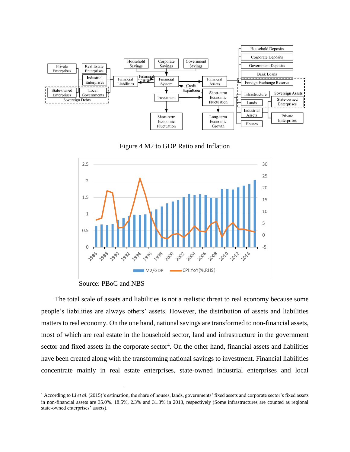





Source: PBoC and NBS

 $\overline{a}$ 

The total scale of assets and liabilities is not a realistic threat to real economy because some people's liabilities are always others' assets. However, the distribution of assets and liabilities matters to real economy. On the one hand, national savings are transformed to non-financial assets, most of which are real estate in the household sector, land and infrastructure in the government sector and fixed assets in the corporate sector<sup>4</sup>. On the other hand, financial assets and liabilities have been created along with the transforming national savings to investment. Financial liabilities concentrate mainly in real estate enterprises, state-owned industrial enterprises and local

<sup>4</sup> According to Li *et al*. (2015)'s estimation, the share of houses, lands, governments' fixed assets and corporate sector's fixed assets in non-financial assets are 35.0%. 18.5%, 2.3% and 31.3% in 2013, respectively (Some infrastructures are counted as regional state-owned enterprises' assets).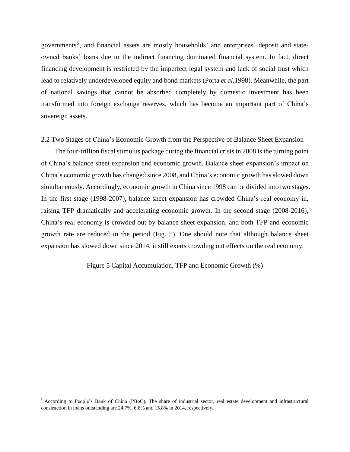governments<sup>5</sup>, and financial assets are mostly households' and enterprises' deposit and stateowned banks' loans due to the indirect financing dominated financial system. In fact, direct financing development is restricted by the imperfect legal system and lack of social trust which lead to relatively underdeveloped equity and bond markets (Porta *et al*,1998). Meanwhile, the part of national savings that cannot be absorbed completely by domestic investment has been transformed into foreign exchange reserves, which has become an important part of China's sovereign assets.

2.2 Two Stages of China's Economic Growth from the Perspective of Balance Sheet Expansion

The four-trillion fiscal stimulus package during the financial crisis in 2008 is the turning point of China's balance sheet expansion and economic growth. Balance sheet expansion's impact on China's economic growth has changed since 2008, and China's economic growth has slowed down simultaneously. Accordingly, economic growth in China since 1998 can be divided into two stages. In the first stage (1998-2007), balance sheet expansion has crowded China's real economy in, raising TFP dramatically and accelerating economic growth. In the second stage (2008-2016), China's real economy is crowded out by balance sheet expansion, and both TFP and economic growth rate are reduced in the period (Fig. 5). One should note that although balance sheet expansion has slowed down since 2014, it still exerts crowding out effects on the real economy.

Figure 5 Capital Accumulation, TFP and Economic Growth (%)

 $\overline{a}$ 

<sup>&</sup>lt;sup>5</sup> According to People's Bank of China (PBoC), The share of industrial sector, real estate development and infrastructural construction in loans outstanding are 24.7%, 6.6% and 15.8% in 2014, respectively.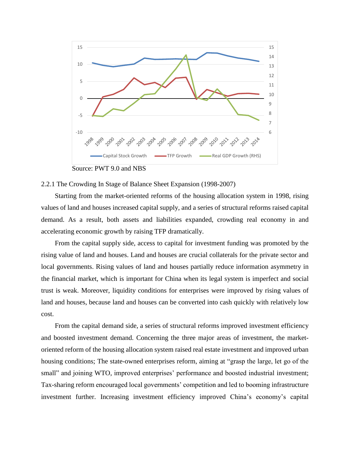

Source: PWT 9.0 and NBS

#### 2.2.1 The Crowding In Stage of Balance Sheet Expansion (1998-2007)

Starting from the market-oriented reforms of the housing allocation system in 1998, rising values of land and houses increased capital supply, and a series of structural reforms raised capital demand. As a result, both assets and liabilities expanded, crowding real economy in and accelerating economic growth by raising TFP dramatically.

From the capital supply side, access to capital for investment funding was promoted by the rising value of land and houses. Land and houses are crucial collaterals for the private sector and local governments. Rising values of land and houses partially reduce information asymmetry in the financial market, which is important for China when its legal system is imperfect and social trust is weak. Moreover, liquidity conditions for enterprises were improved by rising values of land and houses, because land and houses can be converted into cash quickly with relatively low cost.

From the capital demand side, a series of structural reforms improved investment efficiency and boosted investment demand. Concerning the three major areas of investment, the marketoriented reform of the housing allocation system raised real estate investment and improved urban housing conditions; The state-owned enterprises reform, aiming at "grasp the large, let go of the small" and joining WTO, improved enterprises' performance and boosted industrial investment; Tax-sharing reform encouraged local governments' competition and led to booming infrastructure investment further. Increasing investment efficiency improved China's economy's capital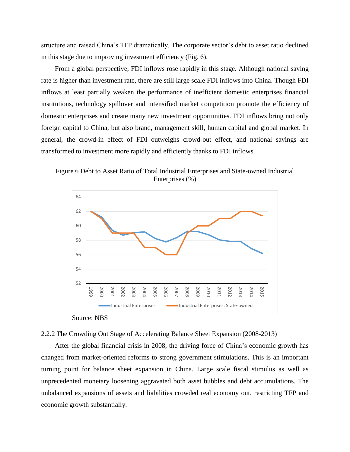structure and raised China's TFP dramatically. The corporate sector's debt to asset ratio declined in this stage due to improving investment efficiency (Fig. 6).

From a global perspective, FDI inflows rose rapidly in this stage. Although national saving rate is higher than investment rate, there are still large scale FDI inflows into China. Though FDI inflows at least partially weaken the performance of inefficient domestic enterprises financial institutions, technology spillover and intensified market competition promote the efficiency of domestic enterprises and create many new investment opportunities. FDI inflows bring not only foreign capital to China, but also brand, management skill, human capital and global market. In general, the crowd-in effect of FDI outweighs crowd-out effect, and national savings are transformed to investment more rapidly and efficiently thanks to FDI inflows.

Figure 6 Debt to Asset Ratio of Total Industrial Enterprises and State-owned Industrial Enterprises (%)



Source: NBS

#### 2.2.2 The Crowding Out Stage of Accelerating Balance Sheet Expansion (2008-2013)

After the global financial crisis in 2008, the driving force of China's economic growth has changed from market-oriented reforms to strong government stimulations. This is an important turning point for balance sheet expansion in China. Large scale fiscal stimulus as well as unprecedented monetary loosening aggravated both asset bubbles and debt accumulations. The unbalanced expansions of assets and liabilities crowded real economy out, restricting TFP and economic growth substantially.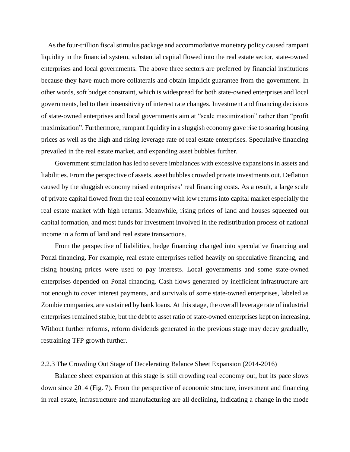As the four-trillion fiscal stimulus package and accommodative monetary policy caused rampant liquidity in the financial system, substantial capital flowed into the real estate sector, state-owned enterprises and local governments. The above three sectors are preferred by financial institutions because they have much more collaterals and obtain implicit guarantee from the government. In other words, soft budget constraint, which is widespread for both state-owned enterprises and local governments, led to their insensitivity of interest rate changes. Investment and financing decisions of state-owned enterprises and local governments aim at "scale maximization" rather than "profit maximization". Furthermore, rampant liquidity in a sluggish economy gave rise to soaring housing prices as well as the high and rising leverage rate of real estate enterprises. Speculative financing prevailed in the real estate market, and expanding asset bubbles further.

Government stimulation has led to severe imbalances with excessive expansions in assets and liabilities. From the perspective of assets, asset bubbles crowded private investments out. Deflation caused by the sluggish economy raised enterprises' real financing costs. As a result, a large scale of private capital flowed from the real economy with low returns into capital market especially the real estate market with high returns. Meanwhile, rising prices of land and houses squeezed out capital formation, and most funds for investment involved in the redistribution process of national income in a form of land and real estate transactions.

From the perspective of liabilities, hedge financing changed into speculative financing and Ponzi financing. For example, real estate enterprises relied heavily on speculative financing, and rising housing prices were used to pay interests. Local governments and some state-owned enterprises depended on Ponzi financing. Cash flows generated by inefficient infrastructure are not enough to cover interest payments, and survivals of some state-owned enterprises, labeled as Zombie companies, are sustained by bank loans. At this stage, the overall leverage rate of industrial enterprises remained stable, but the debt to asset ratio of state-owned enterprises kept on increasing. Without further reforms, reform dividends generated in the previous stage may decay gradually, restraining TFP growth further.

#### 2.2.3 The Crowding Out Stage of Decelerating Balance Sheet Expansion (2014-2016)

Balance sheet expansion at this stage is still crowding real economy out, but its pace slows down since 2014 (Fig. 7). From the perspective of economic structure, investment and financing in real estate, infrastructure and manufacturing are all declining, indicating a change in the mode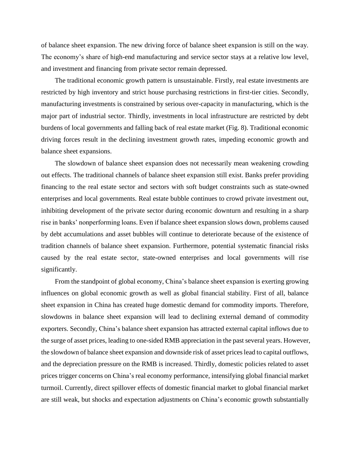of balance sheet expansion. The new driving force of balance sheet expansion is still on the way. The economy's share of high-end manufacturing and service sector stays at a relative low level, and investment and financing from private sector remain depressed.

The traditional economic growth pattern is unsustainable. Firstly, real estate investments are restricted by high inventory and strict house purchasing restrictions in first-tier cities. Secondly, manufacturing investments is constrained by serious over-capacity in manufacturing, which is the major part of industrial sector. Thirdly, investments in local infrastructure are restricted by debt burdens of local governments and falling back of real estate market (Fig. 8). Traditional economic driving forces result in the declining investment growth rates, impeding economic growth and balance sheet expansions.

The slowdown of balance sheet expansion does not necessarily mean weakening crowding out effects. The traditional channels of balance sheet expansion still exist. Banks prefer providing financing to the real estate sector and sectors with soft budget constraints such as state-owned enterprises and local governments. Real estate bubble continues to crowd private investment out, inhibiting development of the private sector during economic downturn and resulting in a sharp rise in banks' nonperforming loans. Even if balance sheet expansion slows down, problems caused by debt accumulations and asset bubbles will continue to deteriorate because of the existence of tradition channels of balance sheet expansion. Furthermore, potential systematic financial risks caused by the real estate sector, state-owned enterprises and local governments will rise significantly.

From the standpoint of global economy, China's balance sheet expansion is exerting growing influences on global economic growth as well as global financial stability. First of all, balance sheet expansion in China has created huge domestic demand for commodity imports. Therefore, slowdowns in balance sheet expansion will lead to declining external demand of commodity exporters. Secondly, China's balance sheet expansion has attracted external capital inflows due to the surge of asset prices, leading to one-sided RMB appreciation in the past several years. However, the slowdown of balance sheet expansion and downside risk of asset prices lead to capital outflows, and the depreciation pressure on the RMB is increased. Thirdly, domestic policies related to asset prices trigger concerns on China's real economy performance, intensifying global financial market turmoil. Currently, direct spillover effects of domestic financial market to global financial market are still weak, but shocks and expectation adjustments on China's economic growth substantially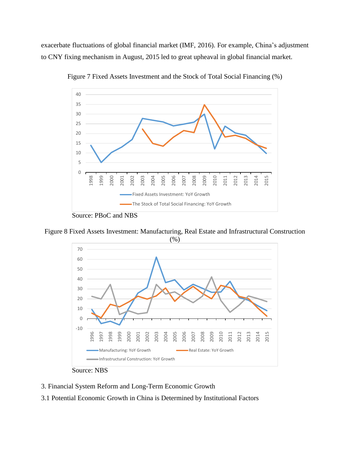exacerbate fluctuations of global financial market (IMF, 2016). For example, China's adjustment to CNY fixing mechanism in August, 2015 led to great upheaval in global financial market.



Figure 7 Fixed Assets Investment and the Stock of Total Social Financing (%)

Source: PBoC and NBS

Figure 8 Fixed Assets Investment: Manufacturing, Real Estate and Infrastructural Construction





- 3. Financial System Reform and Long-Term Economic Growth
- 3.1 Potential Economic Growth in China is Determined by Institutional Factors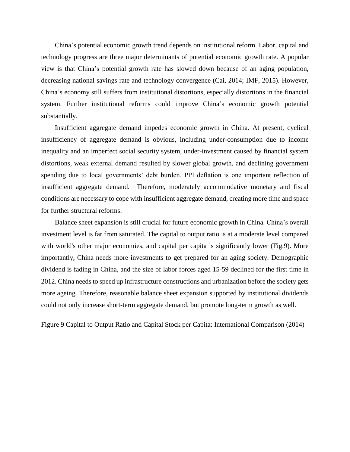China's potential economic growth trend depends on institutional reform. Labor, capital and technology progress are three major determinants of potential economic growth rate. A popular view is that China's potential growth rate has slowed down because of an aging population, decreasing national savings rate and technology convergence (Cai, 2014; IMF, 2015). However, China's economy still suffers from institutional distortions, especially distortions in the financial system. Further institutional reforms could improve China's economic growth potential substantially.

Insufficient aggregate demand impedes economic growth in China. At present, cyclical insufficiency of aggregate demand is obvious, including under-consumption due to income inequality and an imperfect social security system, under-investment caused by financial system distortions, weak external demand resulted by slower global growth, and declining government spending due to local governments' debt burden. PPI deflation is one important reflection of insufficient aggregate demand. Therefore, moderately accommodative monetary and fiscal conditions are necessary to cope with insufficient aggregate demand, creating more time and space for further structural reforms.

Balance sheet expansion is still crucial for future economic growth in China. China's overall investment level is far from saturated. The capital to output ratio is at a moderate level compared with world's other major economies, and capital per capita is significantly lower (Fig.9). More importantly, China needs more investments to get prepared for an aging society. Demographic dividend is fading in China, and the size of labor forces aged 15-59 declined for the first time in 2012. China needs to speed up infrastructure constructions and urbanization before the society gets more ageing. Therefore, reasonable balance sheet expansion supported by institutional dividends could not only increase short-term aggregate demand, but promote long-term growth as well.

Figure 9 Capital to Output Ratio and Capital Stock per Capita: International Comparison (2014)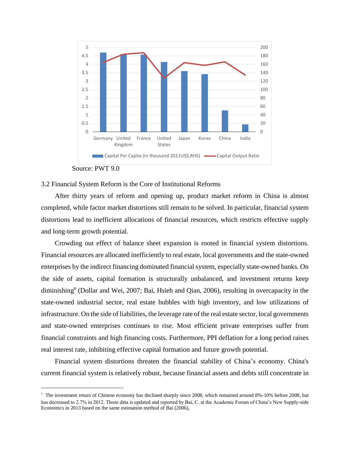

Source: PWT 9.0

 $\overline{a}$ 

### 3.2 Financial System Reform is the Core of Institutional Reforms

After thirty years of reform and opening up, product market reform in China is almost completed, while factor market distortions still remain to be solved. In particular, financial system distortions lead to inefficient allocations of financial resources, which restricts effective supply and long-term growth potential.

Crowding out effect of balance sheet expansion is rooted in financial system distortions. Financial resources are allocated inefficiently to real estate, local governments and the state-owned enterprises by the indirect financing dominated financial system, especially state-owned banks. On the side of assets, capital formation is structurally unbalanced, and investment returns keep diminishing<sup>6</sup> (Dollar and Wei, 2007; Bai, Hsieh and Qian, 2006), resulting in overcapacity in the state-owned industrial sector, real estate bubbles with high inventory, and low utilizations of infrastructure. On the side of liabilities, the leverage rate of the real estate sector, local governments and state-owned enterprises continues to rise. Most efficient private enterprises suffer from financial constraints and high financing costs. Furthermore, PPI deflation for a long period raises real interest rate, inhibiting effective capital formation and future growth potential.

Financial system distortions threaten the financial stability of China's economy. China's current financial system is relatively robust, because financial assets and debts still concentrate in

<sup>&</sup>lt;sup>6</sup> The investment return of Chinese economy has declined sharply since 2008, which remained around 8%-10% before 2008, but has decreased to 2.7% in 2012. Those data is updated and reported by Bai, C. at the Academic Forum of China's New Supply-side Economics in 2013 based on the same estimation method of Bai (2006),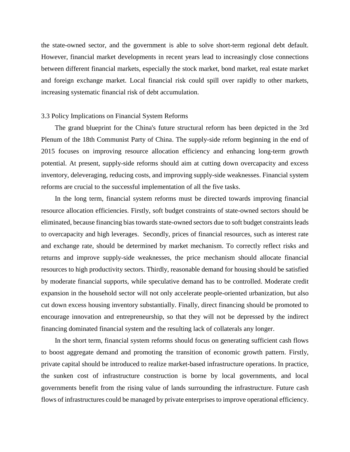the state-owned sector, and the government is able to solve short-term regional debt default. However, financial market developments in recent years lead to increasingly close connections between different financial markets, especially the stock market, bond market, real estate market and foreign exchange market. Local financial risk could spill over rapidly to other markets, increasing systematic financial risk of debt accumulation.

#### 3.3 Policy Implications on Financial System Reforms

The grand blueprint for the China's future structural reform has been depicted in the 3rd Plenum of the 18th Communist Party of China. The supply-side reform beginning in the end of 2015 focuses on improving resource allocation efficiency and enhancing long-term growth potential. At present, supply-side reforms should aim at cutting down overcapacity and excess inventory, deleveraging, reducing costs, and improving supply-side weaknesses. Financial system reforms are crucial to the successful implementation of all the five tasks.

In the long term, financial system reforms must be directed towards improving financial resource allocation efficiencies. Firstly, soft budget constraints of state-owned sectors should be eliminated, because financing bias towards state-owned sectors due to soft budget constraints leads to overcapacity and high leverages. Secondly, prices of financial resources, such as interest rate and exchange rate, should be determined by market mechanism. To correctly reflect risks and returns and improve supply-side weaknesses, the price mechanism should allocate financial resources to high productivity sectors. Thirdly, reasonable demand for housing should be satisfied by moderate financial supports, while speculative demand has to be controlled. Moderate credit expansion in the household sector will not only accelerate people-oriented urbanization, but also cut down excess housing inventory substantially. Finally, direct financing should be promoted to encourage innovation and entrepreneurship, so that they will not be depressed by the indirect financing dominated financial system and the resulting lack of collaterals any longer.

In the short term, financial system reforms should focus on generating sufficient cash flows to boost aggregate demand and promoting the transition of economic growth pattern. Firstly, private capital should be introduced to realize market-based infrastructure operations. In practice, the sunken cost of infrastructure construction is borne by local governments, and local governments benefit from the rising value of lands surrounding the infrastructure. Future cash flows of infrastructures could be managed by private enterprises to improve operational efficiency.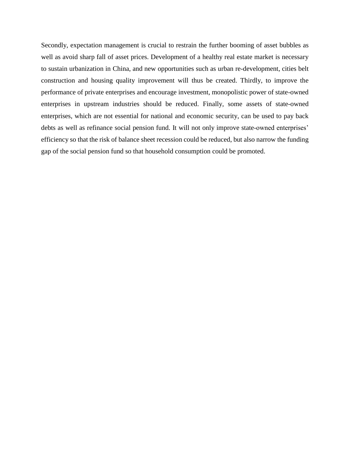Secondly, expectation management is crucial to restrain the further booming of asset bubbles as well as avoid sharp fall of asset prices. Development of a healthy real estate market is necessary to sustain urbanization in China, and new opportunities such as urban re-development, cities belt construction and housing quality improvement will thus be created. Thirdly, to improve the performance of private enterprises and encourage investment, monopolistic power of state-owned enterprises in upstream industries should be reduced. Finally, some assets of state-owned enterprises, which are not essential for national and economic security, can be used to pay back debts as well as refinance social pension fund. It will not only improve state-owned enterprises' efficiency so that the risk of balance sheet recession could be reduced, but also narrow the funding gap of the social pension fund so that household consumption could be promoted.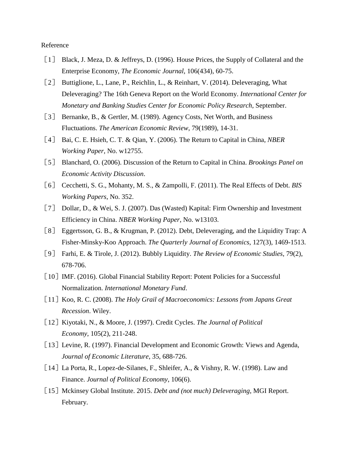#### Reference

- [1] Black, J. Meza, D. & Jeffreys, D. (1996). House Prices, the Supply of Collateral and the Enterprise Economy, *The Economic Journal*, 106(434), 60-75.
- [2] Buttiglione, L., Lane, P., Reichlin, L., & Reinhart, V. (2014). Deleveraging, What Deleveraging? The 16th Geneva Report on the World Economy. *International Center for Monetary and Banking Studies Center for Economic Policy Research*, September.
- [3] Bernanke, B., & Gertler, M. (1989). Agency Costs, Net Worth, and Business Fluctuations. *The American Economic Review*, 79(1989), 14-31.
- [4] Bai, C. E. Hsieh, C. T. & Qian, Y. (2006). The Return to Capital in China, *NBER Working Paper*, No. w12755.
- [5] Blanchard, O. (2006). Discussion of the Return to Capital in China. *Brookings Panel on Economic Activity Discussion*.
- [6] Cecchetti, S. G., Mohanty, M. S., & Zampolli, F. (2011). The Real Effects of Debt. *BIS Working Papers*, No. 352.
- [7] Dollar, D., & Wei, S. J. (2007). Das (Wasted) Kapital: Firm Ownership and Investment Efficiency in China. *NBER Working Paper*, No. w13103.
- [8] Eggertsson, G. B., & Krugman, P. (2012). Debt, Deleveraging, and the Liquidity Trap: A Fisher-Minsky-Koo Approach. *The Quarterly Journal of Economics*, 127(3), 1469-1513.
- [9] Farhi, E. & Tirole, J. (2012). Bubbly Liquidity. *The Review of Economic Studies*, 79(2), 678-706.
- [10] IMF. (2016). Global Financial Stability Report: Potent Policies for a Successful Normalization. *International Monetary Fund*.
- [11] Koo, R. C. (2008). *The Holy Grail of Macroeconomics: Lessons from Japans Great Recession*. Wiley.
- [12]Kiyotaki, N., & Moore, J. (1997). Credit Cycles. *The Journal of Political Economy*, 105(2), 211-248.
- [13] Levine, R. (1997). Financial Development and Economic Growth: Views and Agenda, *Journal of Economic Literature*, 35, 688-726.
- [14] La Porta, R., Lopez-de-Silanes, F., Shleifer, A., & Vishny, R. W. (1998). Law and Finance. *Journal of Political Economy*, 106(6).
- [15] Mckinsey Global Institute. 2015. *Debt and (not much) Deleveraging*, MGI Report. February.